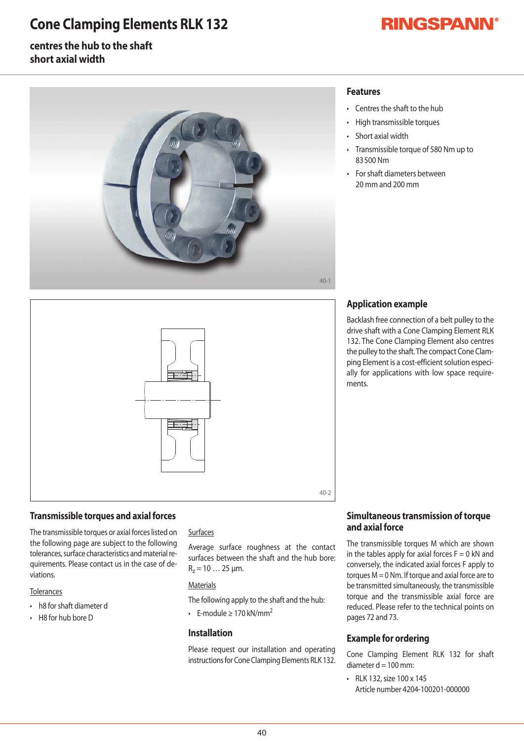## **Cone Clamping Elements RLK 132**

# **RINGSPANN®**

## **centres the hub to the shaft short axial width**



#### **Features**

- Centres the shaft to the hub
- High transmissible torques
- Short axial width
- Transmissible torque of 580 Nm up to 83500Nm
- For shaft diameters between 20mmand200mm



### **Transmissible torques and axial forces**

The transmissible torques or axial forces listed on the following page are subject to the following tolerances, surface characteristics and material requirements. Please contact us in the case of deviations.

#### **Tolerances**

- h8 for shaft diameter d
- $\cdot$  H8 for hub bore D

#### **Surfaces**

Average surface roughness at the contact surfaces between the shaft and the hub bore:  $R_z = 10...25 \mu m$ .

#### **Materials**

The following apply to the shaft and the hub:

• F-module > 170 kN/mm<sup>2</sup>

#### **Installation**

Please request our installation and operating instructions for Cone Clamping Elements RLK 132.

## **Application example**

Backlash free connection of a belt pulley to the drive shaft with a Cone Clamping Element RLK 132. The Cone Clamping Element also centres the pulley to the shaft. The compact Cone Clamping Element is a cost-efficient solution especially for applications with low space requirements.

### **Simultaneous transmission of torque and axial force**

The transmissible torques M which are shownin the tables apply for axial forces  $F=0$  kN and conversely, the indicated axial forces F apply to torques  $M = 0$  Nm. If torque and axial force are to be transmitted simultaneously, the transmissible torque and the transmissible axial force are reduced. Please refer to the technical points on pages 72 and 73.

#### **Example for ordering**

Cone Clamping Element RLK 132 for shaft diameter  $d = 100$  mm:

• RLK 132, size 100 x 145 Article number 4204-100201-000000